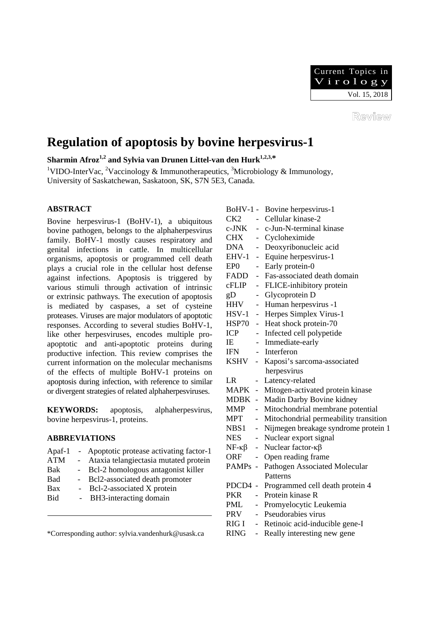

Review

# **Regulation of apoptosis by bovine herpesvirus-1**

**Sharmin Afroz<sup>1,2</sup> and Sylvia van Drunen Littel-van den Hurk<sup>1,2,3,\*</sup>** 

<sup>1</sup>VIDO-InterVac, <sup>2</sup>Vaccinology & Immunotherapeutics, <sup>3</sup>Microbiology & Immunology, University of Saskatchewan, Saskatoon, SK, S7N 5E3, Canada.

# **ABSTRACT**

Bovine herpesvirus-1 (BoHV-1), a ubiquitous bovine pathogen, belongs to the alphaherpesvirus family. BoHV-1 mostly causes respiratory and genital infections in cattle. In multicellular organisms, apoptosis or programmed cell death plays a crucial role in the cellular host defense against infections. Apoptosis is triggered by various stimuli through activation of intrinsic or extrinsic pathways. The execution of apoptosis is mediated by caspases, a set of cysteine proteases. Viruses are major modulators of apoptotic responses. According to several studies BoHV-1, like other herpesviruses, encodes multiple proapoptotic and anti-apoptotic proteins during productive infection. This review comprises the current information on the molecular mechanisms of the effects of multiple BoHV-1 proteins on apoptosis during infection, with reference to similar or divergent strategies of related alphaherpesviruses.

**KEYWORDS:** apoptosis, alphaherpesvirus, bovine herpesvirus-1, proteins.

## **ABBREVIATIONS**

| - Apoptotic protease activating factor-1 |
|------------------------------------------|
| Ataxia telangiectasia mutated protein    |
| - Bcl-2 homologous antagonist killer     |
| - Bcl2-associated death promoter         |
| Bcl-2-associated X protein               |
|                                          |

Bid - BH3-interacting domain

\*Corresponding author: sylvia.vandenhurk@usask.ca

|                     |                             | BoHV-1 - Bovine herpesvirus-1         |
|---------------------|-----------------------------|---------------------------------------|
| CK2                 | $\overline{a}$              | Cellular kinase-2                     |
| c-JNK               |                             | c-Jun-N-terminal kinase               |
| CHX                 |                             | - Cycloheximide                       |
| DNA                 | $\sim$                      | Deoxyribonucleic acid                 |
| EHV-1               | $\sim$                      | Equine herpesvirus-1                  |
| EP0                 | $\overline{a}$              | Early protein-0                       |
| FADD                | $\equiv$                    | Fas-associated death domain           |
| cFLIP               | $\overline{\phantom{0}}$    | FLICE-inhibitory protein              |
| gD                  | $\sim$                      | Glycoprotein D                        |
| HHV                 | $\mathbb{Z}^{\mathbb{Z}}$   | Human herpesvirus -1                  |
| $HSV-1$             | $\sim$                      | Herpes Simplex Virus-1                |
| HSP70 -             |                             | Heat shock protein-70                 |
| <b>ICP</b>          | $\mathcal{L}_{\mathcal{A}}$ | Infected cell polypetide              |
| IE                  | $\mathbb{L}^{\mathbb{N}}$   | Immediate-early                       |
| <b>IFN</b>          |                             | - Interferon                          |
| KSHV -              |                             | Kaposi's sarcoma-associated           |
|                     |                             | herpesvirus                           |
| LR                  | -                           | Latency-related                       |
| MAPK -              |                             | Mitogen-activated protein kinase      |
| MDBK -              |                             | Madin Darby Bovine kidney             |
| MMP                 | $\overline{a}$              | Mitochondrial membrane potential      |
| MPT                 | $\overline{a}$              | Mitochondrial permeability transition |
| NBS1                | $\overline{\phantom{0}}$    | Nijmegen breakage syndrome protein 1  |
| <b>NES</b>          | $\overline{\phantom{0}}$    | Nuclear export signal                 |
| $NF - \kappa\beta$  | $\overline{a}$              | Nuclear factor- $\kappa\beta$         |
| <b>ORF</b>          | $\overline{a}$              | Open reading frame                    |
| PAMP <sub>s</sub> - |                             | Pathogen Associated Molecular         |
|                     |                             | Patterns                              |
| PDCD4 -             |                             | Programmed cell death protein 4       |
| PKR                 |                             | Protein kinase R                      |
| PML                 | $\blacksquare$              | Promyelocytic Leukemia                |
|                     |                             |                                       |
| PRV                 | $\overline{a}$              | Pseudorabies virus                    |
| RIG I               | $\frac{1}{2}$               | Retinoic acid-inducible gene-I        |
| <b>RING</b>         | $\frac{1}{2}$               | Really interesting new gene           |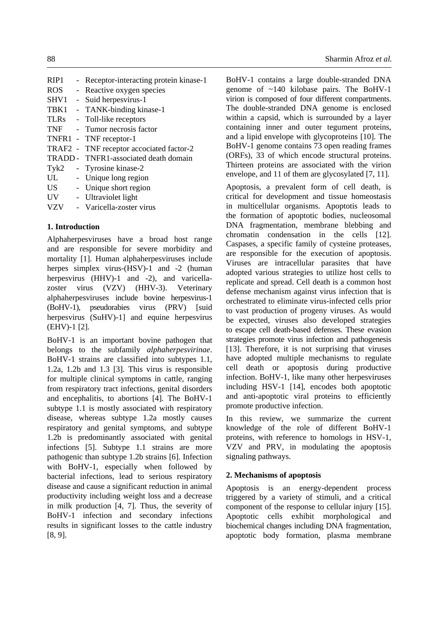RIP1 - Receptor-interacting protein kinase-1 ROS - Reactive oxygen species SHV1 - Suid herpesvirus-1 TBK1 - TANK-binding kinase-1 TLRs - Toll-like receptors TNF - Tumor necrosis factor TNFR1 - TNF receptor-1 TRAF2 - TNF receptor accociated factor-2 TRADD - TNFR1-associated death domain Tyk2 - Tyrosine kinase-2 UL - Unique long region US - Unique short region UV - Ultraviolet light VZV - Varicella-zoster virus

# **1. Introduction**

Alphaherpesviruses have a broad host range and are responsible for severe morbidity and mortality [1]. Human alphaherpesviruses include herpes simplex virus-(HSV)-1 and -2 (human herpesvirus (HHV)-1 and -2), and varicellazoster virus (VZV) (HHV-3). Veterinary alphaherpesviruses include bovine herpesvirus-1 (BoHV-1), pseudorabies virus (PRV) [suid herpesvirus (SuHV)-1] and equine herpesvirus (EHV)-1 [2].

BoHV-1 is an important bovine pathogen that belongs to the subfamily *alphaherpesvirinae*. BoHV-1 strains are classified into subtypes 1.1, 1.2a, 1.2b and 1.3 [3]. This virus is responsible for multiple clinical symptoms in cattle, ranging from respiratory tract infections, genital disorders and encephalitis, to abortions [4]. The BoHV-1 subtype 1.1 is mostly associated with respiratory disease, whereas subtype 1.2a mostly causes respiratory and genital symptoms, and subtype 1.2b is predominantly associated with genital infections [5]. Subtype 1.1 strains are more pathogenic than subtype 1.2b strains [6]. Infection with BoHV-1, especially when followed by bacterial infections, lead to serious respiratory disease and cause a significant reduction in animal productivity including weight loss and a decrease in milk production [4, 7]. Thus, the severity of BoHV-1 infection and secondary infections results in significant losses to the cattle industry [8, 9].

BoHV-1 contains a large double-stranded DNA genome of ~140 kilobase pairs. The BoHV-1 virion is composed of four different compartments. The double-stranded DNA genome is enclosed within a capsid, which is surrounded by a layer containing inner and outer tegument proteins, and a lipid envelope with glycoproteins [10]. The BoHV-1 genome contains 73 open reading frames (ORFs), 33 of which encode structural proteins. Thirteen proteins are associated with the virion envelope, and 11 of them are glycosylated [7, 11].

Apoptosis, a prevalent form of cell death, is critical for development and tissue homeostasis in multicellular organisms. Apoptotis leads to the formation of apoptotic bodies, nucleosomal DNA fragmentation, membrane blebbing and chromatin condensation in the cells [12]. Caspases, a specific family of cysteine proteases, are responsible for the execution of apoptosis. Viruses are intracellular parasites that have adopted various strategies to utilize host cells to replicate and spread. Cell death is a common host defense mechanism against virus infection that is orchestrated to eliminate virus-infected cells prior to vast production of progeny viruses. As would be expected, viruses also developed strategies to escape cell death-based defenses. These evasion strategies promote virus infection and pathogenesis [13]. Therefore, it is not surprising that viruses have adopted multiple mechanisms to regulate cell death or apoptosis during productive infection. BoHV-1, like many other herpesviruses including HSV-1 [14], encodes both apoptotic and anti-apoptotic viral proteins to efficiently promote productive infection.

In this review, we summarize the current knowledge of the role of different BoHV-1 proteins, with reference to homologs in HSV-1, VZV and PRV, in modulating the apoptosis signaling pathways.

## **2. Mechanisms of apoptosis**

Apoptosis is an energy-dependent process triggered by a variety of stimuli, and a critical component of the response to cellular injury [15]. Apoptotic cells exhibit morphological and biochemical changes including DNA fragmentation, apoptotic body formation, plasma membrane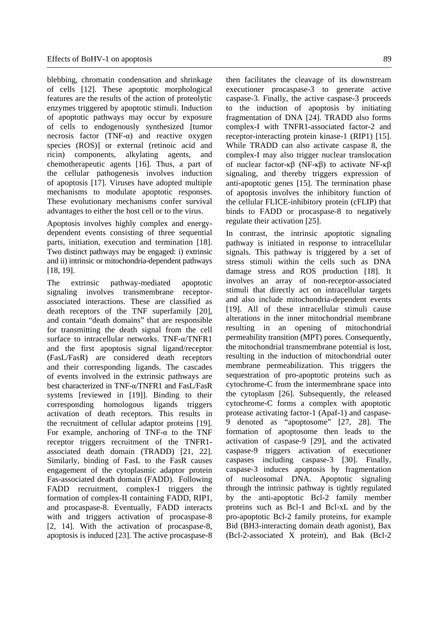blebbing, chromatin condensation and shrinkage of cells [12]. These apoptotic morphological features are the results of the action of proteolytic enzymes triggered by apoptotic stimuli. Induction of apoptotic pathways may occur by exposure of cells to endogenously synthesized [tumor necrosis factor (TNF- $\alpha$ ) and reactive oxygen species (ROS)] or external (retinoic acid and ricin) components, alkylating agents, and chemotherapeutic agents [16]. Thus, a part of the cellular pathogenesis involves induction of apoptosis [17]. Viruses have adopted multiple mechanisms to modulate apoptotic responses. These evolutionary mechanisms confer survival advantages to either the host cell or to the virus.

Apoptosis involves highly complex and energydependent events consisting of three sequential parts, initiation, execution and termination [18]. Two distinct pathways may be engaged: i) extrinsic and ii) intrinsic or mitochondria-dependent pathways [18, 19].

The extrinsic pathway-mediated apoptotic signaling involves transmembrane receptorassociated interactions. These are classified as death receptors of the TNF superfamily [20], and contain "death domains" that are responsible for transmitting the death signal from the cell surface to intracellular networks. TNF-α/TNFR1 and the first apoptosis signal ligand/receptor (FasL/FasR) are considered death receptors and their corresponding ligands. The cascades of events involved in the extrinsic pathways are best characterized in TNF-α/TNFR1 and FasL/FasR systems [reviewed in [19]]. Binding to their corresponding homologous ligands triggers activation of death receptors. This results in the recruitment of cellular adaptor proteins [19]. For example, anchoring of TNF- $\alpha$  to the TNF receptor triggers recruitment of the TNFR1 associated death domain (TRADD) [21, 22]. Similarly, binding of FasL to the FasR causes engagement of the cytoplasmic adaptor protein Fas-associated death domain (FADD). Following FADD recruitment, complex-I triggers the formation of complex-II containing FADD, RIP1, and procaspase-8. Eventually, FADD interacts with and triggers activation of procaspase-8 [2, 14]. With the activation of procaspase-8, apoptosis is induced [23]. The active procaspase-8 then facilitates the cleavage of its downstream executioner procaspase-3 to generate active caspase-3. Finally, the active caspase-3 proceeds to the induction of apoptosis by initiating fragmentation of DNA [24]. TRADD also forms complex-I with TNFR1-associated factor-2 and receptor-interacting protein kinase-1 (RIP1) [15]. While TRADD can also activate caspase 8, the complex-I may also trigger nuclear translocation of nuclear factor-κβ (NF-κβ) to activate NF-κβ signaling, and thereby triggers expression of anti-apoptotic genes [15]. The termination phase of apoptosis involves the inhibitory function of the cellular FLICE-inhibitory protein (cFLIP) that binds to FADD or procaspase-8 to negatively regulate their activation [25].

In contrast, the intrinsic apoptotic signaling pathway is initiated in response to intracellular signals. This pathway is triggered by a set of stress stimuli within the cells such as DNA damage stress and ROS production [18]. It involves an array of non-receptor-associated stimuli that directly act on intracellular targets and also include mitochondria-dependent events [19]. All of these intracellular stimuli cause alterations in the inner mitochondrial membrane resulting in an opening of mitochondrial permeability transition (MPT) pores. Consequently, the mitochondrial transmembrane potential is lost, resulting in the induction of mitochondrial outer membrane permeabilization. This triggers the sequestration of pro-apoptotic proteins such as cytochrome-C from the intermembrane space into the cytoplasm [26]. Subsequently, the released cytochrome-C forms a complex with apoptotic protease activating factor-1 (Apaf-1) and caspase-9 denoted as "apoptosome" [27, 28]. The formation of apoptosome then leads to the activation of caspase-9 [29], and the activated caspase-9 triggers activation of executioner caspases including caspase-3 [30]. Finally, caspase-3 induces apoptosis by fragmentation of nucleosomal DNA. Apoptotic signaling through the intrinsic pathway is tightly regulated by the anti-apoptotic Bcl-2 family member proteins such as Bcl-1 and Bcl-xL and by the pro-apoptotic Bcl-2 family proteins, for example Bid (BH3-interacting domain death agonist), Bax (Bcl-2-associated X protein), and Bak (Bcl-2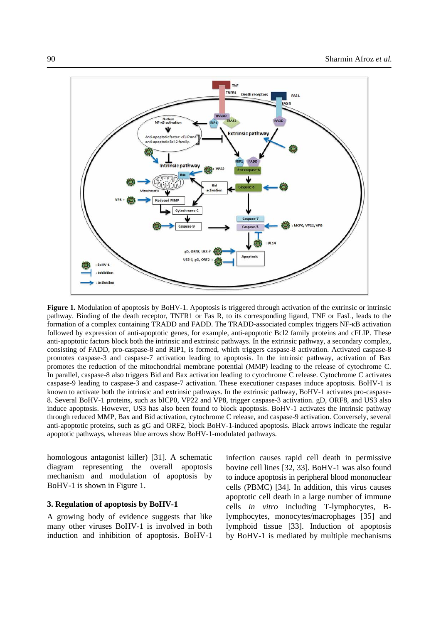

**Figure 1.** Modulation of apoptosis by BoHV-1. Apoptosis is triggered through activation of the extrinsic or intrinsic pathway. Binding of the death receptor, TNFR1 or Fas R, to its corresponding ligand, TNF or FasL, leads to the formation of a complex containing TRADD and FADD. The TRADD-associated complex triggers NF-κB activation followed by expression of anti-apoptotic genes, for example, anti-apoptotic Bcl2 family proteins and cFLIP. These anti-apoptotic factors block both the intrinsic and extrinsic pathways. In the extrinsic pathway, a secondary complex, consisting of FADD, pro-caspase-8 and RIP1, is formed, which triggers caspase-8 activation. Activated caspase-8 promotes caspase-3 and caspase-7 activation leading to apoptosis. In the intrinsic pathway, activation of Bax promotes the reduction of the mitochondrial membrane potential (MMP) leading to the release of cytochrome C. In parallel, caspase-8 also triggers Bid and Bax activation leading to cytochrome C release. Cytochrome C activates caspase-9 leading to caspase-3 and caspase-7 activation. These executioner caspases induce apoptosis. BoHV-1 is known to activate both the intrinsic and extrinsic pathways. In the extrinsic pathway, BoHV-1 activates pro-caspase-8. Several BoHV-1 proteins, such as bICP0, VP22 and VP8, trigger caspase-3 activation. gD, ORF8, and US3 also induce apoptosis. However, US3 has also been found to block apoptosis. BoHV-1 activates the intrinsic pathway through reduced MMP, Bax and Bid activation, cytochrome C release, and caspase-9 activation. Conversely, several anti-apoptotic proteins, such as gG and ORF2, block BoHV-1-induced apoptosis. Black arrows indicate the regular apoptotic pathways, whereas blue arrows show BoHV-1-modulated pathways.

homologous antagonist killer) [31]. A schematic diagram representing the overall apoptosis mechanism and modulation of apoptosis by BoHV-1 is shown in Figure 1.

#### **3. Regulation of apoptosis by BoHV-1**

A growing body of evidence suggests that like many other viruses BoHV-1 is involved in both induction and inhibition of apoptosis. BoHV-1

infection causes rapid cell death in permissive bovine cell lines [32, 33]. BoHV-1 was also found to induce apoptosis in peripheral blood mononuclear cells (PBMC) [34]. In addition, this virus causes apoptotic cell death in a large number of immune cells *in vitro* including T-lymphocytes, Blymphocytes, monocytes/macrophages [35] and lymphoid tissue [33]. Induction of apoptosis by BoHV-1 is mediated by multiple mechanisms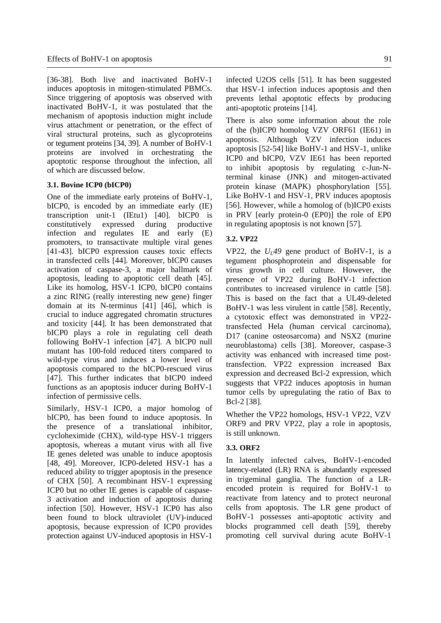[36-38]. Both live and inactivated BoHV-1 induces apoptosis in mitogen-stimulated PBMCs. Since triggering of apoptosis was observed with inactivated BoHV-1, it was postulated that the mechanism of apoptosis induction might include virus attachment or penetration, or the effect of viral structural proteins, such as glycoproteins or tegument proteins [34, 39]. A number of BoHV-1 proteins are involved in orchestrating the apoptotic response throughout the infection, all of which are discussed below.

#### **3.1. Bovine ICP0 (bICP0)**

One of the immediate early proteins of BoHV-1, bICP0, is encoded by an immediate early (IE) transcription unit-1 (IEtu1) [40]. bICP0 is constitutively expressed during productive infection and regulates IE and early (E) promoters, to transactivate multiple viral genes [41-43]. bICP0 expression causes toxic effects in transfected cells [44]. Moreover, bICP0 causes activation of caspase-3, a major hallmark of apoptosis, leading to apoptotic cell death [45]. Like its homolog, HSV-1 ICP0, bICP0 contains a zinc RING (really interesting new gene) finger domain at its N-terminus [41] [46], which is crucial to induce aggregated chromatin structures and toxicity [44]. It has been demonstrated that bICP0 plays a role in regulating cell death following BoHV-1 infection [47]. A bICP0 null mutant has 100-fold reduced titers compared to wild-type virus and induces a lower level of apoptosis compared to the bICP0-rescued virus [47]. This further indicates that bICP0 indeed functions as an apoptosis inducer during BoHV-1 infection of permissive cells.

Similarly, HSV-1 ICP0, a major homolog of bICP0, has been found to induce apoptosis. In the presence of a translational inhibitor, cycloheximide (CHX), wild-type HSV-1 triggers apoptosis, whereas a mutant virus with all five IE genes deleted was unable to induce apoptosis [48, 49]. Moreover, ICP0-deleted HSV-1 has a reduced ability to trigger apoptosis in the presence of CHX [50]. A recombinant HSV-1 expressing ICP0 but no other IE genes is capable of caspase-3 activation and induction of apoptosis during infection [50]. However, HSV-1 ICP0 has also been found to block ultraviolet (UV)-induced apoptosis, because expression of ICP0 provides protection against UV-induced apoptosis in HSV-1

infected U2OS cells [51]. It has been suggested that HSV-1 infection induces apoptosis and then prevents lethal apoptotic effects by producing anti-apoptotic proteins [14].

There is also some information about the role of the (b)ICP0 homolog VZV ORF61 (IE61) in apoptosis. Although VZV infection induces apoptosis [52-54] like BoHV-1 and HSV-1, unlike ICP0 and bICP0, VZV IE61 has been reported to inhibit apoptosis by regulating c-Jun-Nterminal kinase (JNK) and mitogen-activated protein kinase (MAPK) phosphorylation [55]. Like BoHV-1 and HSV-1, PRV induces apoptosis [56]. However, while a homolog of (b)ICP0 exists in PRV [early protein-0 (EP0)] the role of EP0 in regulating apoptosis is not known [57].

#### **3.2. VP22**

VP22, the  $U<sub>L</sub>49$  gene product of BoHV-1, is a tegument phosphoprotein and dispensable for virus growth in cell culture. However, the presence of VP22 during BoHV-1 infection contributes to increased virulence in cattle [58]. This is based on the fact that a UL49-deleted BoHV-1 was less virulent in cattle [58]. Recently, a cytotoxic effect was demonstrated in VP22 transfected Hela (human cervical carcinoma), D17 (canine osteosarcoma) and NSX2 (murine neuroblastoma) cells [38]. Moreover, caspase-3 activity was enhanced with increased time posttransfection. VP22 expression increased Bax expression and decreased Bcl-2 expression, which suggests that VP22 induces apoptosis in human tumor cells by upregulating the ratio of Bax to Bcl-2 [38].

Whether the VP22 homologs, HSV-1 VP22, VZV ORF9 and PRV VP22, play a role in apoptosis, is still unknown.

#### **3.3. ORF2**

In latently infected calves, BoHV-1-encoded latency-related (LR) RNA is abundantly expressed in trigeminal ganglia. The function of a LRencoded protein is required for BoHV-1 to reactivate from latency and to protect neuronal cells from apoptosis. The LR gene product of BoHV-1 possesses anti-apoptotic activity and blocks programmed cell death [59], thereby promoting cell survival during acute BoHV-1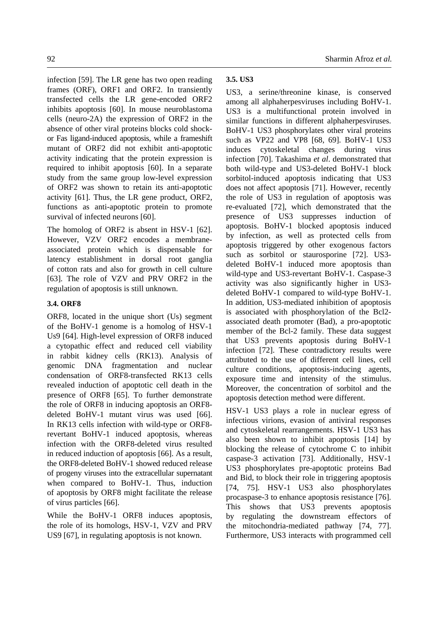infection [59]. The LR gene has two open reading frames (ORF), ORF1 and ORF2. In transiently transfected cells the LR gene-encoded ORF2 inhibits apoptosis [60]. In mouse neuroblastoma cells (neuro-2A) the expression of ORF2 in the absence of other viral proteins blocks cold shockor Fas ligand-induced apoptosis, while a frameshift mutant of ORF2 did not exhibit anti-apoptotic activity indicating that the protein expression is required to inhibit apoptosis [60]. In a separate study from the same group low-level expression of ORF2 was shown to retain its anti-apoptotic

functions as anti-apoptotic protein to promote survival of infected neurons [60].

The homolog of ORF2 is absent in HSV-1 [62]. However, VZV ORF2 encodes a membraneassociated protein which is dispensable for latency establishment in dorsal root ganglia of cotton rats and also for growth in cell culture [63]. The role of VZV and PRV ORF2 in the regulation of apoptosis is still unknown.

activity [61]. Thus, the LR gene product, ORF2,

## **3.4. ORF8**

ORF8, located in the unique short (Us) segment of the BoHV-1 genome is a homolog of HSV-1 Us9 [64]. High-level expression of ORF8 induced a cytopathic effect and reduced cell viability in rabbit kidney cells (RK13). Analysis of genomic DNA fragmentation and nuclear condensation of ORF8-transfected RK13 cells revealed induction of apoptotic cell death in the presence of ORF8 [65]. To further demonstrate the role of ORF8 in inducing apoptosis an ORF8 deleted BoHV-1 mutant virus was used [66]. In RK13 cells infection with wild-type or ORF8 revertant BoHV-1 induced apoptosis, whereas infection with the ORF8-deleted virus resulted in reduced induction of apoptosis [66]. As a result, the ORF8-deleted BoHV-1 showed reduced release of progeny viruses into the extracellular supernatant when compared to BoHV-1. Thus, induction of apoptosis by ORF8 might facilitate the release of virus particles [66].

While the BoHV-1 ORF8 induces apoptosis, the role of its homologs, HSV-1, VZV and PRV US9 [67], in regulating apoptosis is not known.

# **3.5. US3**

US3, a serine/threonine kinase, is conserved among all alphaherpesviruses including BoHV-1. US3 is a multifunctional protein involved in similar functions in different alphaherpesviruses. BoHV-1 US3 phosphorylates other viral proteins such as VP22 and VP8 [68, 69]. BoHV-1 US3 induces cytoskeletal changes during virus infection [70]. Takashima *et al*. demonstrated that both wild-type and US3-deleted BoHV-1 block sorbitol-induced apoptosis indicating that US3 does not affect apoptosis [71]. However, recently the role of US3 in regulation of apoptosis was re-evaluated [72], which demonstrated that the presence of US3 suppresses induction of apoptosis. BoHV-1 blocked apoptosis induced by infection, as well as protected cells from apoptosis triggered by other exogenous factors such as sorbitol or staurosporine [72]. US3 deleted BoHV-1 induced more apoptosis than wild-type and US3-revertant BoHV-1. Caspase-3 activity was also significantly higher in US3 deleted BoHV-1 compared to wild-type BoHV-1. In addition, US3-mediated inhibition of apoptosis is associated with phosphorylation of the Bcl2 associated death promoter (Bad), a pro-apoptotic member of the Bcl-2 family. These data suggest that US3 prevents apoptosis during BoHV-1 infection [72]. These contradictory results were attributed to the use of different cell lines, cell culture conditions, apoptosis-inducing agents, exposure time and intensity of the stimulus. Moreover, the concentration of sorbitol and the apoptosis detection method were different.

HSV-1 US3 plays a role in nuclear egress of infectious virions, evasion of antiviral responses and cytoskeletal rearrangements. HSV-1 US3 has also been shown to inhibit apoptosis [14] by blocking the release of cytochrome C to inhibit caspase-3 activation [73]. Additionally, HSV-1 US3 phosphorylates pre-apoptotic proteins Bad and Bid, to block their role in triggering apoptosis [74, 75]. HSV-1 US3 also phosphorylates procaspase-3 to enhance apoptosis resistance [76]. This shows that US3 prevents apoptosis by regulating the downstream effectors of the mitochondria-mediated pathway [74, 77]. Furthermore, US3 interacts with programmed cell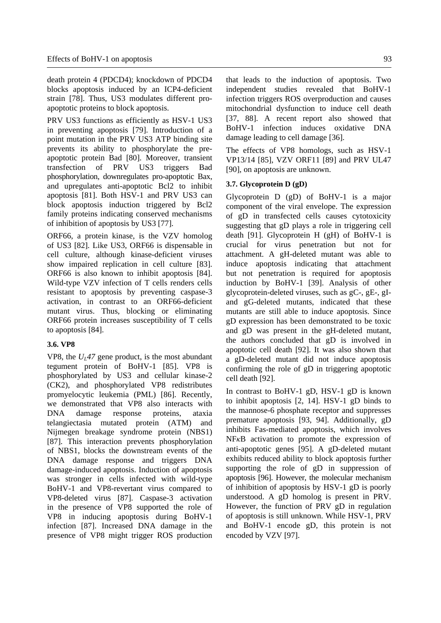death protein 4 (PDCD4); knockdown of PDCD4 blocks apoptosis induced by an ICP4-deficient strain [78]. Thus, US3 modulates different proapoptotic proteins to block apoptosis.

PRV US3 functions as efficiently as HSV-1 US3 in preventing apoptosis [79]. Introduction of a point mutation in the PRV US3 ATP binding site prevents its ability to phosphorylate the preapoptotic protein Bad [80]. Moreover, transient transfection of PRV US3 triggers Bad phosphorylation, downregulates pro-apoptotic Bax, and upregulates anti-apoptotic Bcl2 to inhibit apoptosis [81]. Both HSV-1 and PRV US3 can block apoptosis induction triggered by Bcl2 family proteins indicating conserved mechanisms of inhibition of apoptosis by US3 [77].

ORF66, a protein kinase, is the VZV homolog of US3 [82]. Like US3, ORF66 is dispensable in cell culture, although kinase-deficient viruses show impaired replication in cell culture [83]. ORF66 is also known to inhibit apoptosis [84]. Wild-type VZV infection of T cells renders cells resistant to apoptosis by preventing caspase-3 activation, in contrast to an ORF66-deficient mutant virus. Thus, blocking or eliminating ORF66 protein increases susceptibility of T cells to apoptosis [84].

#### **3.6. VP8**

VP8, the  $U_1$ 47 gene product, is the most abundant tegument protein of BoHV-1 [85]. VP8 is phosphorylated by US3 and cellular kinase-2 (CK2), and phosphorylated VP8 redistributes promyelocytic leukemia (PML) [86]. Recently, we demonstrated that VP8 also interacts with DNA damage response proteins, ataxia telangiectasia mutated protein (ATM) and Nijmegen breakage syndrome protein (NBS1) [87]. This interaction prevents phosphorylation of NBS1, blocks the downstream events of the DNA damage response and triggers DNA damage-induced apoptosis. Induction of apoptosis was stronger in cells infected with wild-type BoHV-1 and VP8-revertant virus compared to VP8-deleted virus [87]. Caspase-3 activation in the presence of VP8 supported the role of VP8 in inducing apoptosis during BoHV-1 infection [87]. Increased DNA damage in the presence of VP8 might trigger ROS production that leads to the induction of apoptosis. Two independent studies revealed that BoHV-1 infection triggers ROS overproduction and causes mitochondrial dysfunction to induce cell death [37, 88]. A recent report also showed that BoHV-1 infection induces oxidative DNA damage leading to cell damage [36].

The effects of VP8 homologs, such as HSV-1 VP13/14 [85], VZV ORF11 [89] and PRV UL47 [90], on apoptosis are unknown.

## **3.7. Glycoprotein D (gD)**

Glycoprotein D (gD) of BoHV-1 is a major component of the viral envelope. The expression of gD in transfected cells causes cytotoxicity suggesting that gD plays a role in triggering cell death [91]. Glycoprotein H (gH) of BoHV-1 is crucial for virus penetration but not for attachment. A gH-deleted mutant was able to induce apoptosis indicating that attachment but not penetration is required for apoptosis induction by BoHV-1 [39]. Analysis of other glycoprotein-deleted viruses, such as gC-, gE-, gIand gG-deleted mutants, indicated that these mutants are still able to induce apoptosis. Since gD expression has been demonstrated to be toxic and gD was present in the gH-deleted mutant, the authors concluded that gD is involved in apoptotic cell death [92]. It was also shown that a gD-deleted mutant did not induce apoptosis confirming the role of gD in triggering apoptotic cell death [92].

In contrast to BoHV-1 gD, HSV-1 gD is known to inhibit apoptosis [2, 14]. HSV-1 gD binds to the mannose-6 phosphate receptor and suppresses premature apoptosis [93, 94]. Additionally, gD inhibits Fas-mediated apoptosis, which involves NF*κ*B activation to promote the expression of anti-apoptotic genes [95]. A gD-deleted mutant exhibits reduced ability to block apoptosis further supporting the role of gD in suppression of apoptosis [96]. However, the molecular mechanism of inhibition of apoptosis by HSV-1 gD is poorly understood. A gD homolog is present in PRV. However, the function of PRV gD in regulation of apoptosis is still unknown. While HSV-1, PRV and BoHV-1 encode gD, this protein is not encoded by VZV [97].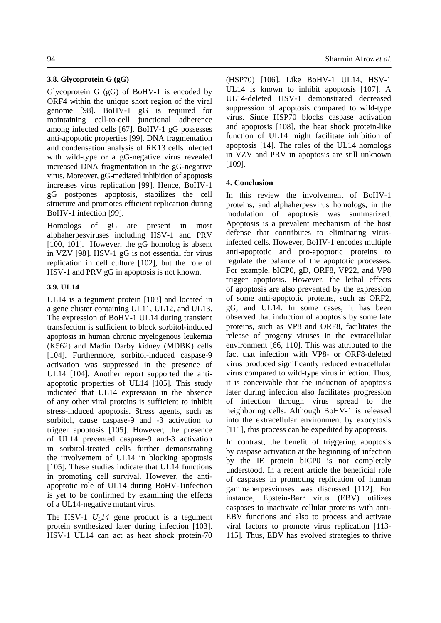#### **3.8. Glycoprotein G (gG)**

Glycoprotein G (gG) of BoHV-1 is encoded by ORF4 within the unique short region of the viral genome [98]. BoHV-1 gG is required for maintaining cell-to-cell junctional adherence among infected cells [67]. BoHV-1 gG possesses anti-apoptotic properties [99]. DNA fragmentation and condensation analysis of RK13 cells infected with wild-type or a gG-negative virus revealed increased DNA fragmentation in the gG-negative virus. Moreover, gG-mediated inhibition of apoptosis increases virus replication [99]. Hence, BoHV-1 gG postpones apoptosis, stabilizes the cell structure and promotes efficient replication during BoHV-1 infection [99].

Homologs of gG are present in most alphaherpesviruses including HSV-1 and PRV [100, 101]. However, the gG homolog is absent in VZV [98]. HSV-1 gG is not essential for virus replication in cell culture [102], but the role of HSV-1 and PRV gG in apoptosis is not known.

## **3.9. UL14**

UL14 is a tegument protein [103] and located in a gene cluster containing UL11, UL12, and UL13. The expression of BoHV-1 UL14 during transient transfection is sufficient to block sorbitol-induced apoptosis in human chronic myelogenous leukemia (K562) and Madin Darby kidney (MDBK) cells [104]. Furthermore, sorbitol-induced caspase-9 activation was suppressed in the presence of UL14 [104]. Another report supported the antiapoptotic properties of UL14 [105]. This study indicated that UL14 expression in the absence of any other viral proteins is sufficient to inhibit stress-induced apoptosis. Stress agents, such as sorbitol, cause caspase-9 and -3 activation to trigger apoptosis [105]. However, the presence of UL14 prevented caspase-9 and-3 activation in sorbitol-treated cells further demonstrating the involvement of UL14 in blocking apoptosis [105]. These studies indicate that UL14 functions in promoting cell survival. However, the antiapoptotic role of UL14 during BoHV-1infection is yet to be confirmed by examining the effects of a UL14-negative mutant virus.

The HSV-1  $U_I$ 14 gene product is a tegument protein synthesized later during infection [103]. HSV-1 UL14 can act as heat shock protein-70 (HSP70) [106]. Like BoHV-1 UL14, HSV-1 UL14 is known to inhibit apoptosis [107]. A UL14-deleted HSV-1 demonstrated decreased suppression of apoptosis compared to wild-type virus. Since HSP70 blocks caspase activation and apoptosis [108], the heat shock protein-like function of UL14 might facilitate inhibition of apoptosis [14]. The roles of the UL14 homologs in VZV and PRV in apoptosis are still unknown [109].

### **4. Conclusion**

In this review the involvement of BoHV-1 proteins, and alphaherpesvirus homologs, in the modulation of apoptosis was summarized. Apoptosis is a prevalent mechanism of the host defense that contributes to eliminating virusinfected cells. However, BoHV-1 encodes multiple anti-apoptotic and pro-apoptotic proteins to regulate the balance of the apoptotic processes. For example, bICP0, gD, ORF8, VP22, and VP8 trigger apoptosis. However, the lethal effects of apoptosis are also prevented by the expression of some anti-apoptotic proteins, such as ORF2, gG, and UL14. In some cases, it has been observed that induction of apoptosis by some late proteins, such as VP8 and ORF8, facilitates the release of progeny viruses in the extracellular environment [66, 110]. This was attributed to the fact that infection with VP8- or ORF8-deleted virus produced significantly reduced extracellular virus compared to wild-type virus infection. Thus, it is conceivable that the induction of apoptosis later during infection also facilitates progression of infection through virus spread to the neighboring cells. Although BoHV-1 is released into the extracellular environment by exocytosis [111], this process can be expedited by apoptosis.

In contrast, the benefit of triggering apoptosis by caspase activation at the beginning of infection by the IE protein bICP0 is not completely understood. In a recent article the beneficial role of caspases in promoting replication of human gammaherpesviruses was discussed [112]. For instance, Epstein-Barr virus (EBV) utilizes caspases to inactivate cellular proteins with anti-EBV functions and also to process and activate viral factors to promote virus replication [113- 115]. Thus, EBV has evolved strategies to thrive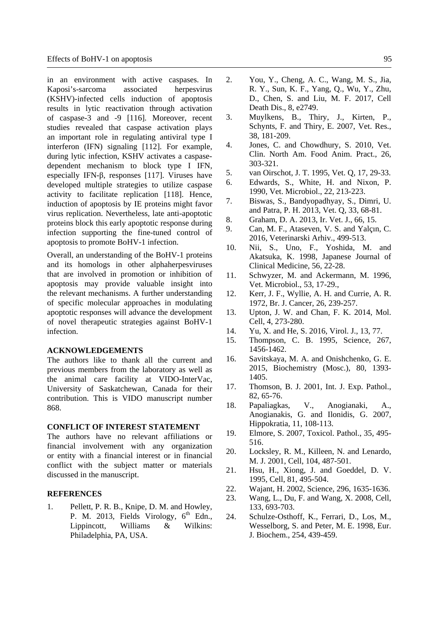in an environment with active caspases. In Kaposi's-sarcoma associated herpesvirus (KSHV)-infected cells induction of apoptosis results in lytic reactivation through activation of caspase-3 and -9 [116]. Moreover, recent studies revealed that caspase activation plays an important role in regulating antiviral type I interferon (IFN) signaling [112]. For example, during lytic infection, KSHV activates a caspasedependent mechanism to block type I IFN, especially IFN-β, responses [117]. Viruses have developed multiple strategies to utilize caspase activity to facilitate replication [118]. Hence, induction of apoptosis by IE proteins might favor virus replication. Nevertheless, late anti-apoptotic proteins block this early apoptotic response during infection supporting the fine-tuned control of apoptosis to promote BoHV-1 infection.

Overall, an understanding of the BoHV-1 proteins and its homologs in other alphaherpesviruses that are involved in promotion or inhibition of apoptosis may provide valuable insight into the relevant mechanisms. A further understanding of specific molecular approaches in modulating apoptotic responses will advance the development of novel therapeutic strategies against BoHV-1 infection.

#### **ACKNOWLEDGEMENTS**

The authors like to thank all the current and previous members from the laboratory as well as the animal care facility at VIDO-InterVac, University of Saskatchewan, Canada for their contribution. This is VIDO manuscript number 868.

## **CONFLICT OF INTEREST STATEMENT**

The authors have no relevant affiliations or financial involvement with any organization or entity with a financial interest or in financial conflict with the subject matter or materials discussed in the manuscript.

#### **REFERENCES**

1. Pellett, P. R. B., Knipe, D. M. and Howley, P. M. 2013, Fields Virology,  $6<sup>th</sup>$  Edn., Lippincott, Williams & Wilkins: Philadelphia, PA, USA.

- 2. You, Y., Cheng, A. C., Wang, M. S., Jia, R. Y., Sun, K. F., Yang, Q., Wu, Y., Zhu, D., Chen, S. and Liu, M. F. 2017, Cell Death Dis., 8, e2749.
- 3. Muylkens, B., Thiry, J., Kirten, P., Schynts, F. and Thiry, E. 2007, Vet. Res., 38, 181-209.
- 4. Jones, C. and Chowdhury, S. 2010, Vet. Clin. North Am. Food Anim. Pract., 26, 303-321.
- 5. van Oirschot, J. T. 1995, Vet. Q, 17, 29-33.
- 6. Edwards, S., White, H. and Nixon, P. 1990, Vet. Microbiol., 22, 213-223.
- 7. Biswas, S., Bandyopadhyay, S., Dimri, U. and Patra, P. H. 2013, Vet. Q, 33, 68-81.
- 8. Graham, D. A. 2013, Ir. Vet. J., 66, 15.
- 9. Can, M. F., Ataseven, V. S. and Yalçın, C. 2016, Veterinarski Arhiv., 499-513.
- 10. Nii, S., Uno, F., Yoshida, M. and Akatsuka, K. 1998, Japanese Journal of Clinical Medicine, 56, 22-28.
- 11. Schwyzer, M. and Ackermann, M. 1996, Vet. Microbiol., 53, 17-29.,
- 12. Kerr, J. F., Wyllie, A. H. and Currie, A. R. 1972, Br. J. Cancer, 26, 239-257.
- 13. Upton, J. W. and Chan, F. K. 2014, Mol. Cell, 4, 273-280.
- 14. Yu, X. and He, S. 2016, Virol. J., 13, 77.
- 15. Thompson, C. B. 1995, Science, 267, 1456-1462.
- 16. Savitskaya, M. A. and Onishchenko, G. E. 2015, Biochemistry (Mosc.), 80, 1393- 1405.
- 17. Thomson, B. J. 2001, Int. J. Exp. Pathol., 82, 65-76.
- 18. Papaliagkas, V., Anogianaki, A., Anogianakis, G. and Ilonidis, G. 2007, Hippokratia, 11, 108-113.
- 19. Elmore, S. 2007, Toxicol. Pathol., 35, 495- 516.
- 20. Locksley, R. M., Killeen, N. and Lenardo, M. J. 2001, Cell, 104, 487-501.
- 21. Hsu, H., Xiong, J. and Goeddel, D. V. 1995, Cell, 81, 495-504.
- 22. Wajant, H. 2002, Science, 296, 1635-1636.
- 23. Wang, L., Du, F. and Wang, X. 2008, Cell, 133, 693-703.
- 24. Schulze-Osthoff, K., Ferrari, D., Los, M., Wesselborg, S. and Peter, M. E. 1998, Eur. J. Biochem., 254, 439-459.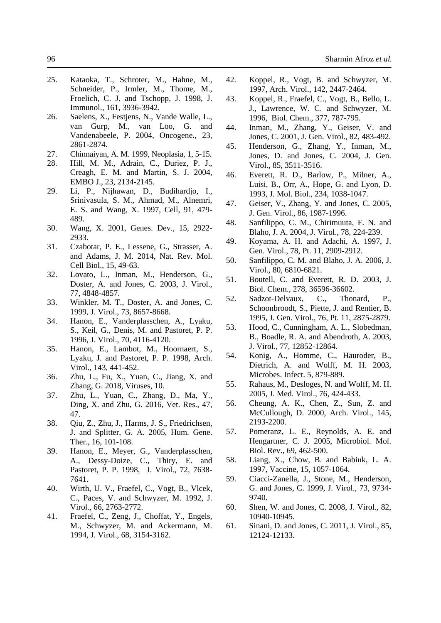- 25. Kataoka, T., Schroter, M., Hahne, M., Schneider, P., Irmler, M., Thome, M., Froelich, C. J. and Tschopp, J. 1998, J. Immunol., 161, 3936-3942.
- 26. Saelens, X., Festjens, N., Vande Walle, L., van Gurp, M., van Loo, G. and Vandenabeele, P. 2004, Oncogene., 23, 2861-2874.
- 27. Chinnaiyan, A. M. 1999, Neoplasia, 1, 5-15.
- 28. Hill, M. M., Adrain, C., Duriez, P. J., Creagh, E. M. and Martin, S. J. 2004, EMBO J., 23, 2134-2145.
- 29. Li, P., Nijhawan, D., Budihardjo, I., Srinivasula, S. M., Ahmad, M., Alnemri, E. S. and Wang, X. 1997, Cell, 91, 479- 489.
- 30. Wang, X. 2001, Genes. Dev., 15, 2922- 2933.
- 31. Czabotar, P. E., Lessene, G., Strasser, A. and Adams, J. M. 2014, Nat. Rev. Mol. Cell Biol., 15, 49-63.
- 32. Lovato, L., Inman, M., Henderson, G., Doster, A. and Jones, C. 2003, J. Virol., 77, 4848-4857.
- 33. Winkler, M. T., Doster, A. and Jones, C. 1999, J. Virol., 73, 8657-8668.
- 34. Hanon, E., Vanderplasschen, A., Lyaku, S., Keil, G., Denis, M. and Pastoret, P. P. 1996, J. Virol., 70, 4116-4120.
- 35. Hanon, E., Lambot, M., Hoornaert, S., Lyaku, J. and Pastoret, P. P. 1998, Arch. Virol., 143, 441-452.
- 36. Zhu, L., Fu, X., Yuan, C., Jiang, X. and Zhang, G. 2018, Viruses, 10.
- 37. Zhu, L., Yuan, C., Zhang, D., Ma, Y., Ding, X. and Zhu, G. 2016, Vet. Res., 47, 47.
- 38. Qiu, Z., Zhu, J., Harms, J. S., Friedrichsen, J. and Splitter, G. A. 2005, Hum. Gene. Ther., 16, 101-108.
- 39. Hanon, E., Meyer, G., Vanderplasschen, A., Dessy-Doize, C., Thiry, E. and Pastoret, P. P. 1998, J. Virol., 72, 7638- 7641.
- 40. Wirth, U. V., Fraefel, C., Vogt, B., Vlcek, C., Paces, V. and Schwyzer, M. 1992, J. Virol., 66, 2763-2772.
- 41. Fraefel, C., Zeng, J., Choffat, Y., Engels, M., Schwyzer, M. and Ackermann, M. 1994, J. Virol., 68, 3154-3162.
- 42. Koppel, R., Vogt, B. and Schwyzer, M. 1997, Arch. Virol., 142, 2447-2464.
- 43. Koppel, R., Fraefel, C., Vogt, B., Bello, L. J., Lawrence, W. C. and Schwyzer, M. 1996, Biol. Chem., 377, 787-795.
- 44. Inman, M., Zhang, Y., Geiser, V. and Jones, C. 2001, J. Gen. Virol., 82, 483-492.
- 45. Henderson, G., Zhang, Y., Inman, M., Jones, D. and Jones, C. 2004, J. Gen. Virol., 85, 3511-3516.
- 46. Everett, R. D., Barlow, P., Milner, A., Luisi, B., Orr, A., Hope, G. and Lyon, D. 1993, J. Mol. Biol., 234, 1038-1047.
- 47. Geiser, V., Zhang, Y. and Jones, C. 2005, J. Gen. Virol., 86, 1987-1996.
- 48. Sanfilippo, C. M., Chirimuuta, F. N. and Blaho, J. A. 2004, J. Virol., 78, 224-239.
- 49. Koyama, A. H. and Adachi, A. 1997, J. Gen. Virol., 78, Pt. 11, 2909-2912.
- 50. Sanfilippo, C. M. and Blaho, J. A. 2006, J. Virol., 80, 6810-6821.
- 51. Boutell, C. and Everett, R. D. 2003, J. Biol. Chem., 278, 36596-36602.
- 52. Sadzot-Delvaux, C., Thonard, P., Schoonbroodt, S., Piette, J. and Rentier, B. 1995, J. Gen. Virol., 76, Pt. 11, 2875-2879.
- 53. Hood, C., Cunningham, A. L., Slobedman, B., Boadle, R. A. and Abendroth, A. 2003, J. Virol., 77, 12852-12864.
- 54. Konig, A., Homme, C., Hauroder, B., Dietrich, A. and Wolff, M. H. 2003, Microbes. Infect. 5, 879-889.
- 55. Rahaus, M., Desloges, N. and Wolff, M. H. 2005, J. Med. Virol., 76, 424-433.
- 56. Cheung, A. K., Chen, Z., Sun, Z. and McCullough, D. 2000, Arch. Virol., 145, 2193-2200.
- 57. Pomeranz, L. E., Reynolds, A. E. and Hengartner, C. J. 2005, Microbiol. Mol. Biol. Rev., 69, 462-500.
- 58. Liang, X., Chow, B. and Babiuk, L. A. 1997, Vaccine, 15, 1057-1064.
- 59. Ciacci-Zanella, J., Stone, M., Henderson, G. and Jones, C. 1999, J. Virol., 73, 9734- 9740.
- 60. Shen, W. and Jones, C. 2008, J. Virol., 82, 10940-10945.
- 61. Sinani, D. and Jones, C. 2011, J. Virol., 85, 12124-12133.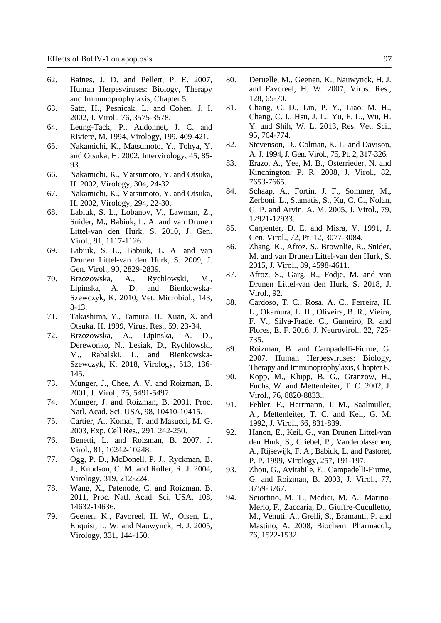- 62. Baines, J. D. and Pellett, P. E. 2007, Human Herpesviruses: Biology, Therapy and Immunoprophylaxis, Chapter 5.
- 63. Sato, H., Pesnicak, L. and Cohen, J. I. 2002, J. Virol., 76, 3575-3578.
- 64. Leung-Tack, P., Audonnet, J. C. and Riviere, M. 1994, Virology, 199, 409-421.
- 65. Nakamichi, K., Matsumoto, Y., Tohya, Y. and Otsuka, H. 2002, Intervirology, 45, 85- 93.
- 66. Nakamichi, K., Matsumoto, Y. and Otsuka, H. 2002, Virology, 304, 24-32.
- 67. Nakamichi, K., Matsumoto, Y. and Otsuka, H. 2002, Virology, 294, 22-30.
- 68. Labiuk, S. L., Lobanov, V., Lawman, Z., Snider, M., Babiuk, L. A. and van Drunen Littel-van den Hurk, S. 2010, J. Gen. Virol., 91, 1117-1126.
- 69. Labiuk, S. L., Babiuk, L. A. and van Drunen Littel-van den Hurk, S. 2009, J. Gen. Virol., 90, 2829-2839.
- 70. Brzozowska, A., Rychlowski, M., Lipinska, A. D. and Bienkowska-Szewczyk, K. 2010, Vet. Microbiol., 143, 8-13.
- 71. Takashima, Y., Tamura, H., Xuan, X. and Otsuka, H. 1999, Virus. Res., 59, 23-34.
- 72. Brzozowska, A., Lipinska, A. D., Derewonko, N., Lesiak, D., Rychlowski, M., Rabalski, L. and Bienkowska-Szewczyk, K. 2018, Virology, 513, 136- 145.
- 73. Munger, J., Chee, A. V. and Roizman, B. 2001, J. Virol., 75, 5491-5497.
- 74. Munger, J. and Roizman, B. 2001, Proc. Natl. Acad. Sci. USA, 98, 10410-10415.
- 75. Cartier, A., Komai, T. and Masucci, M. G. 2003, Exp. Cell Res., 291, 242-250.
- 76. Benetti, L. and Roizman, B. 2007, J. Virol., 81, 10242-10248.
- 77. Ogg, P. D., McDonell, P. J., Ryckman, B. J., Knudson, C. M. and Roller, R. J. 2004, Virology, 319, 212-224.
- 78. Wang, X., Patenode, C. and Roizman, B. 2011, Proc. Natl. Acad. Sci. USA, 108, 14632-14636.
- 79. Geenen, K., Favoreel, H. W., Olsen, L., Enquist, L. W. and Nauwynck, H. J. 2005, Virology, 331, 144-150.
- 80. Deruelle, M., Geenen, K., Nauwynck, H. J. and Favoreel, H. W. 2007, Virus. Res., 128, 65-70.
- 81. Chang, C. D., Lin, P. Y., Liao, M. H., Chang, C. I., Hsu, J. L., Yu, F. L., Wu, H. Y. and Shih, W. L. 2013, Res. Vet. Sci., 95, 764-774.
- 82. Stevenson, D., Colman, K. L. and Davison, A. J. 1994, J. Gen. Virol., 75, Pt. 2, 317-326.
- 83. Erazo, A., Yee, M. B., Osterrieder, N. and Kinchington, P. R. 2008, J. Virol., 82, 7653-7665.
- 84. Schaap, A., Fortin, J. F., Sommer, M., Zerboni, L., Stamatis, S., Ku, C. C., Nolan, G. P. and Arvin, A. M. 2005, J. Virol., 79, 12921-12933.
- 85. Carpenter, D. E. and Misra, V. 1991, J. Gen. Virol., 72, Pt. 12, 3077-3084.
- 86. Zhang, K., Afroz, S., Brownlie, R., Snider, M. and van Drunen Littel-van den Hurk, S. 2015, J. Virol., 89, 4598-4611.
- 87. Afroz, S., Garg, R., Fodje, M. and van Drunen Littel-van den Hurk, S. 2018, J. Virol., 92.
- 88. Cardoso, T. C., Rosa, A. C., Ferreira, H. L., Okamura, L. H., Oliveira, B. R., Vieira, F. V., Silva-Frade, C., Gameiro, R. and Flores, E. F. 2016, J. Neurovirol., 22, 725- 735.
- 89. Roizman, B. and Campadelli-Fiurne, G. 2007, Human Herpesviruses: Biology, Therapy and Immunoprophylaxis, Chapter 6.
- 90. Kopp, M., Klupp, B. G., Granzow, H., Fuchs, W. and Mettenleiter, T. C. 2002, J. Virol., 76, 8820-8833.,
- 91. Fehler, F., Herrmann, J. M., Saalmuller, A., Mettenleiter, T. C. and Keil, G. M. 1992, J. Virol., 66, 831-839.
- 92. Hanon, E., Keil, G., van Drunen Littel-van den Hurk, S., Griebel, P., Vanderplasschen, A., Rijsewijk, F. A., Babiuk, L. and Pastoret, P. P. 1999, Virology, 257, 191-197.
- 93. Zhou, G., Avitabile, E., Campadelli-Fiume, G. and Roizman, B. 2003, J. Virol., 77, 3759-3767.
- 94. Sciortino, M. T., Medici, M. A., Marino-Merlo, F., Zaccaria, D., Giuffre-Cuculletto, M., Venuti, A., Grelli, S., Bramanti, P. and Mastino, A. 2008, Biochem. Pharmacol., 76, 1522-1532.